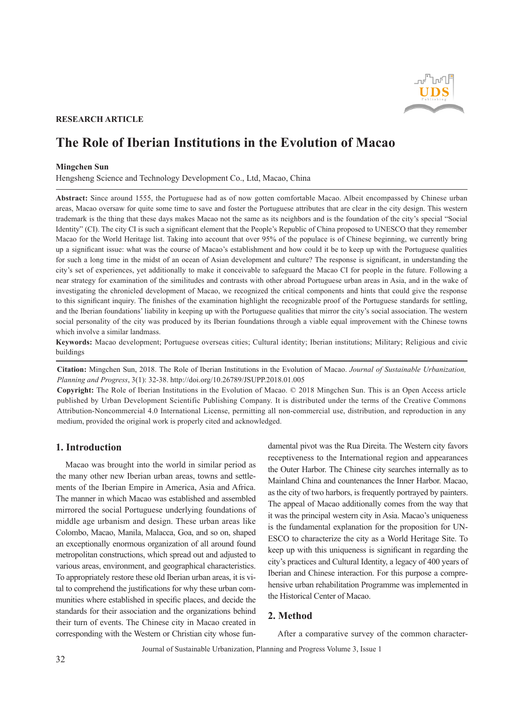

## **RESEARCH ARTICLE**

# **The Role of Iberian Institutions in the Evolution of Macao**

#### **Mingchen Sun**

Hengsheng Science and Technology Development Co., Ltd, Macao, China

**Abstract:** Since around 1555, the Portuguese had as of now gotten comfortable Macao. Albeit encompassed by Chinese urban areas, Macao oversaw for quite some time to save and foster the Portuguese attributes that are clear in the city design. This western trademark is the thing that these days makes Macao not the same as its neighbors and is the foundation of the city's special "Social Identity" (CI). The city CI is such a significant element that the People's Republic of China proposed to UNESCO that they remember Macao for the World Heritage list. Taking into account that over 95% of the populace is of Chinese beginning, we currently bring up a significant issue: what was the course of Macao's establishment and how could it be to keep up with the Portuguese qualities for such a long time in the midst of an ocean of Asian development and culture? The response is significant, in understanding the city's set of experiences, yet additionally to make it conceivable to safeguard the Macao CI for people in the future. Following a near strategy for examination of the similitudes and contrasts with other abroad Portuguese urban areas in Asia, and in the wake of investigating the chronicled development of Macao, we recognized the critical components and hints that could give the response to this significant inquiry. The finishes of the examination highlight the recognizable proof of the Portuguese standards for settling, and the Iberian foundations' liability in keeping up with the Portuguese qualities that mirror the city's social association. The western social personality of the city was produced by its Iberian foundations through a viable equal improvement with the Chinese towns which involve a similar landmass.

**Keywords:** Macao development; Portuguese overseas cities; Cultural identity; Iberian institutions; Military; Religious and civic buildings

**Citation:** Mingchen Sun, 2018. The Role of Iberian Institutions in the Evolution of Macao. *Journal of Sustainable Urbanization, Planning and Progress*, 3(1): 32-38. http://doi.org/10.26789/JSUPP.2018.01.005

**Copyright:** The Role of Iberian Institutions in the Evolution of Macao. © 2018 Mingchen Sun. This is an Open Access article published by Urban Development Scientific Publishing Company. It is distributed under the terms of the Creative Commons Attribution-Noncommercial 4.0 International License, permitting all non-commercial use, distribution, and reproduction in any medium, provided the original work is properly cited and acknowledged.

#### **1. Introduction**

Macao was brought into the world in similar period as the many other new Iberian urban areas, towns and settlements of the Iberian Empire in America, Asia and Africa. The manner in which Macao was established and assembled mirrored the social Portuguese underlying foundations of middle age urbanism and design. These urban areas like Colombo, Macao, Manila, Malacca, Goa, and so on, shaped an exceptionally enormous organization of all around found metropolitan constructions, which spread out and adjusted to various areas, environment, and geographical characteristics. To appropriately restore these old Iberian urban areas, it is vital to comprehend the justifications for why these urban communities where established in specific places, and decide the standards for their association and the organizations behind their turn of events. The Chinese city in Macao created in corresponding with the Western or Christian city whose fun-

damental pivot was the Rua Direita. The Western city favors receptiveness to the International region and appearances the Outer Harbor. The Chinese city searches internally as to Mainland China and countenances the Inner Harbor. Macao, as the city of two harbors, is frequently portrayed by painters. The appeal of Macao additionally comes from the way that it was the principal western city in Asia. Macao's uniqueness is the fundamental explanation for the proposition for UN-ESCO to characterize the city as a World Heritage Site. To keep up with this uniqueness is significant in regarding the city's practices and Cultural Identity, a legacy of 400 years of Iberian and Chinese interaction. For this purpose a comprehensive urban rehabilitation Programme was implemented in the Historical Center of Macao.

## **2. Method**

After a comparative survey of the common character-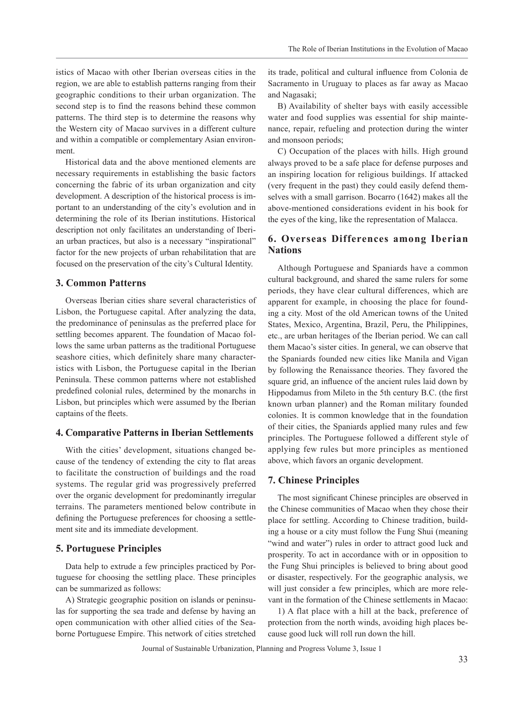istics of Macao with other Iberian overseas cities in the region, we are able to establish patterns ranging from their geographic conditions to their urban organization. The second step is to find the reasons behind these common patterns. The third step is to determine the reasons why the Western city of Macao survives in a different culture and within a compatible or complementary Asian environment.

Historical data and the above mentioned elements are necessary requirements in establishing the basic factors concerning the fabric of its urban organization and city development. A description of the historical process is important to an understanding of the city's evolution and in determining the role of its Iberian institutions. Historical description not only facilitates an understanding of Iberian urban practices, but also is a necessary "inspirational" factor for the new projects of urban rehabilitation that are focused on the preservation of the city's Cultural Identity.

#### **3. Common Patterns**

Overseas Iberian cities share several characteristics of Lisbon, the Portuguese capital. After analyzing the data, the predominance of peninsulas as the preferred place for settling becomes apparent. The foundation of Macao follows the same urban patterns as the traditional Portuguese seashore cities, which definitely share many characteristics with Lisbon, the Portuguese capital in the Iberian Peninsula. These common patterns where not established predefined colonial rules, determined by the monarchs in Lisbon, but principles which were assumed by the Iberian captains of the fleets.

#### **4. Comparative Patterns in Iberian Settlements**

With the cities' development, situations changed because of the tendency of extending the city to flat areas to facilitate the construction of buildings and the road systems. The regular grid was progressively preferred over the organic development for predominantly irregular terrains. The parameters mentioned below contribute in defining the Portuguese preferences for choosing a settlement site and its immediate development.

## **5. Portuguese Principles**

Data help to extrude a few principles practiced by Portuguese for choosing the settling place. These principles can be summarized as follows:

A) Strategic geographic position on islands or peninsulas for supporting the sea trade and defense by having an open communication with other allied cities of the Seaborne Portuguese Empire. This network of cities stretched its trade, political and cultural influence from Colonia de Sacramento in Uruguay to places as far away as Macao and Nagasaki;

B) Availability of shelter bays with easily accessible water and food supplies was essential for ship maintenance, repair, refueling and protection during the winter and monsoon periods;

C) Occupation of the places with hills. High ground always proved to be a safe place for defense purposes and an inspiring location for religious buildings. If attacked (very frequent in the past) they could easily defend themselves with a small garrison. Bocarro (1642) makes all the above-mentioned considerations evident in his book for the eyes of the king, like the representation of Malacca.

# **6. Overseas Differences among Iberian Nations**

Although Portuguese and Spaniards have a common cultural background, and shared the same rulers for some periods, they have clear cultural differences, which are apparent for example, in choosing the place for founding a city. Most of the old American towns of the United States, Mexico, Argentina, Brazil, Peru, the Philippines, etc., are urban heritages of the Iberian period. We can call them Macao's sister cities. In general, we can observe that the Spaniards founded new cities like Manila and Vigan by following the Renaissance theories. They favored the square grid, an influence of the ancient rules laid down by Hippodamus from Mileto in the 5th century B.C. (the first known urban planner) and the Roman military founded colonies. It is common knowledge that in the foundation of their cities, the Spaniards applied many rules and few principles. The Portuguese followed a different style of applying few rules but more principles as mentioned above, which favors an organic development.

#### **7. Chinese Principles**

The most significant Chinese principles are observed in the Chinese communities of Macao when they chose their place for settling. According to Chinese tradition, building a house or a city must follow the Fung Shui (meaning "wind and water") rules in order to attract good luck and prosperity. To act in accordance with or in opposition to the Fung Shui principles is believed to bring about good or disaster, respectively. For the geographic analysis, we will just consider a few principles, which are more relevant in the formation of the Chinese settlements in Macao:

1) A flat place with a hill at the back, preference of protection from the north winds, avoiding high places because good luck will roll run down the hill.

Journal of Sustainable Urbanization, Planning and Progress Volume 3, Issue 1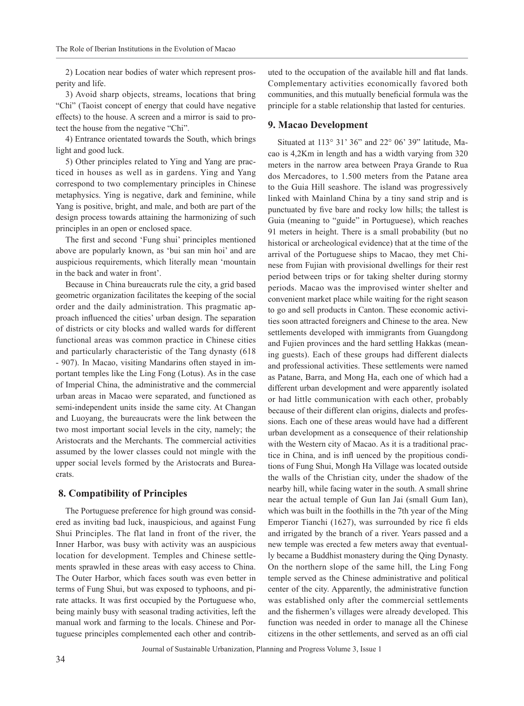2) Location near bodies of water which represent prosperity and life.

3) Avoid sharp objects, streams, locations that bring "Chi" (Taoist concept of energy that could have negative effects) to the house. A screen and a mirror is said to protect the house from the negative "Chi".

4) Entrance orientated towards the South, which brings light and good luck.

5) Other principles related to Ying and Yang are practiced in houses as well as in gardens. Ying and Yang correspond to two complementary principles in Chinese metaphysics. Ying is negative, dark and feminine, while Yang is positive, bright, and male, and both are part of the design process towards attaining the harmonizing of such principles in an open or enclosed space.

The first and second 'Fung shui' principles mentioned above are popularly known, as 'bui san min hoi' and are auspicious requirements, which literally mean 'mountain in the back and water in front'.

Because in China bureaucrats rule the city, a grid based geometric organization facilitates the keeping of the social order and the daily administration. This pragmatic approach influenced the cities' urban design. The separation of districts or city blocks and walled wards for different functional areas was common practice in Chinese cities and particularly characteristic of the Tang dynasty (618 - 907). In Macao, visiting Mandarins often stayed in important temples like the Ling Fong (Lotus). As in the case of Imperial China, the administrative and the commercial urban areas in Macao were separated, and functioned as semi-independent units inside the same city. At Changan and Luoyang, the bureaucrats were the link between the two most important social levels in the city, namely; the Aristocrats and the Merchants. The commercial activities assumed by the lower classes could not mingle with the upper social levels formed by the Aristocrats and Bureacrats.

#### **8. Compatibility of Principles**

The Portuguese preference for high ground was considered as inviting bad luck, inauspicious, and against Fung Shui Principles. The flat land in front of the river, the Inner Harbor, was busy with activity was an auspicious location for development. Temples and Chinese settlements sprawled in these areas with easy access to China. The Outer Harbor, which faces south was even better in terms of Fung Shui, but was exposed to typhoons, and pirate attacks. It was first occupied by the Portuguese who, being mainly busy with seasonal trading activities, left the manual work and farming to the locals. Chinese and Portuguese principles complemented each other and contrib-

uted to the occupation of the available hill and flat lands. Complementary activities economically favored both communities, and this mutually beneficial formula was the principle for a stable relationship that lasted for centuries.

## **9. Macao Development**

Situated at 113° 31' 36" and 22° 06' 39" latitude, Macao is 4,2Km in length and has a width varying from 320 meters in the narrow area between Praya Grande to Rua dos Mercadores, to 1.500 meters from the Patane area to the Guia Hill seashore. The island was progressively linked with Mainland China by a tiny sand strip and is punctuated by five bare and rocky low hills; the tallest is Guia (meaning to "guide" in Portuguese), which reaches 91 meters in height. There is a small probability (but no historical or archeological evidence) that at the time of the arrival of the Portuguese ships to Macao, they met Chinese from Fujian with provisional dwellings for their rest period between trips or for taking shelter during stormy periods. Macao was the improvised winter shelter and convenient market place while waiting for the right season to go and sell products in Canton. These economic activities soon attracted foreigners and Chinese to the area. New settlements developed with immigrants from Guangdong and Fujien provinces and the hard settling Hakkas (meaning guests). Each of these groups had different dialects and professional activities. These settlements were named as Patane, Barra, and Mong Ha, each one of which had a different urban development and were apparently isolated or had little communication with each other, probably because of their different clan origins, dialects and professions. Each one of these areas would have had a different urban development as a consequence of their relationship with the Western city of Macao. As it is a traditional practice in China, and is infl uenced by the propitious conditions of Fung Shui, Mongh Ha Village was located outside the walls of the Christian city, under the shadow of the nearby hill, while facing water in the south. A small shrine near the actual temple of Gun Ian Jai (small Gum Ian), which was built in the foothills in the 7th year of the Ming Emperor Tianchi (1627), was surrounded by rice fi elds and irrigated by the branch of a river. Years passed and a new temple was erected a few meters away that eventually became a Buddhist monastery during the Qing Dynasty. On the northern slope of the same hill, the Ling Fong temple served as the Chinese administrative and political center of the city. Apparently, the administrative function was established only after the commercial settlements and the fishermen's villages were already developed. This function was needed in order to manage all the Chinese citizens in the other settlements, and served as an offi cial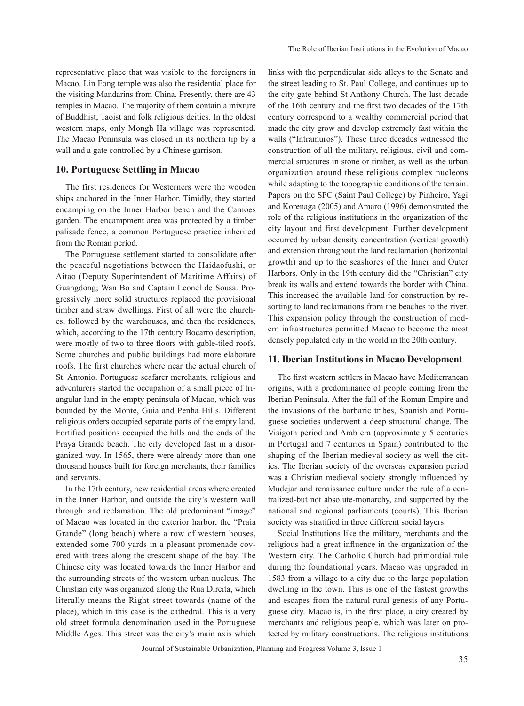representative place that was visible to the foreigners in Macao. Lin Fong temple was also the residential place for the visiting Mandarins from China. Presently, there are 43 temples in Macao. The majority of them contain a mixture of Buddhist, Taoist and folk religious deities. In the oldest western maps, only Mongh Ha village was represented. The Macao Peninsula was closed in its northern tip by a wall and a gate controlled by a Chinese garrison.

## **10. Portuguese Settling in Macao**

The first residences for Westerners were the wooden ships anchored in the Inner Harbor. Timidly, they started encamping on the Inner Harbor beach and the Camoes garden. The encampment area was protected by a timber palisade fence, a common Portuguese practice inherited from the Roman period.

The Portuguese settlement started to consolidate after the peaceful negotiations between the Haidaofushi, or Aitao (Deputy Superintendent of Maritime Affairs) of Guangdong; Wan Bo and Captain Leonel de Sousa. Progressively more solid structures replaced the provisional timber and straw dwellings. First of all were the churches, followed by the warehouses, and then the residences, which, according to the 17th century Bocarro description, were mostly of two to three floors with gable-tiled roofs. Some churches and public buildings had more elaborate roofs. The first churches where near the actual church of St. Antonio. Portuguese seafarer merchants, religious and adventurers started the occupation of a small piece of triangular land in the empty peninsula of Macao, which was bounded by the Monte, Guia and Penha Hills. Different religious orders occupied separate parts of the empty land. Fortified positions occupied the hills and the ends of the Praya Grande beach. The city developed fast in a disorganized way. In 1565, there were already more than one thousand houses built for foreign merchants, their families and servants.

In the 17th century, new residential areas where created in the Inner Harbor, and outside the city's western wall through land reclamation. The old predominant "image" of Macao was located in the exterior harbor, the "Praia Grande" (long beach) where a row of western houses, extended some 700 yards in a pleasant promenade covered with trees along the crescent shape of the bay. The Chinese city was located towards the Inner Harbor and the surrounding streets of the western urban nucleus. The Christian city was organized along the Rua Direita, which literally means the Right street towards (name of the place), which in this case is the cathedral. This is a very old street formula denomination used in the Portuguese Middle Ages. This street was the city's main axis which links with the perpendicular side alleys to the Senate and the street leading to St. Paul College, and continues up to the city gate behind St Anthony Church. The last decade of the 16th century and the first two decades of the 17th century correspond to a wealthy commercial period that made the city grow and develop extremely fast within the walls ("Intramuros"). These three decades witnessed the construction of all the military, religious, civil and commercial structures in stone or timber, as well as the urban organization around these religious complex nucleons while adapting to the topographic conditions of the terrain. Papers on the SPC (Saint Paul College) by Pinheiro, Yagi and Korenaga (2005) and Amaro (1996) demonstrated the role of the religious institutions in the organization of the city layout and first development. Further development occurred by urban density concentration (vertical growth) and extension throughout the land reclamation (horizontal growth) and up to the seashores of the Inner and Outer Harbors. Only in the 19th century did the "Christian" city break its walls and extend towards the border with China. This increased the available land for construction by resorting to land reclamations from the beaches to the river. This expansion policy through the construction of modern infrastructures permitted Macao to become the most densely populated city in the world in the 20th century.

#### **11. Iberian Institutions in Macao Development**

The first western settlers in Macao have Mediterranean origins, with a predominance of people coming from the Iberian Peninsula. After the fall of the Roman Empire and the invasions of the barbaric tribes, Spanish and Portuguese societies underwent a deep structural change. The Visigoth period and Arab era (approximately 5 centuries in Portugal and 7 centuries in Spain) contributed to the shaping of the Iberian medieval society as well the cities. The Iberian society of the overseas expansion period was a Christian medieval society strongly influenced by Mudejar and renaissance culture under the rule of a centralized-but not absolute-monarchy, and supported by the national and regional parliaments (courts). This Iberian society was stratified in three different social layers:

Social Institutions like the military, merchants and the religious had a great influence in the organization of the Western city. The Catholic Church had primordial rule during the foundational years. Macao was upgraded in 1583 from a village to a city due to the large population dwelling in the town. This is one of the fastest growths and escapes from the natural rural genesis of any Portuguese city. Macao is, in the first place, a city created by merchants and religious people, which was later on protected by military constructions. The religious institutions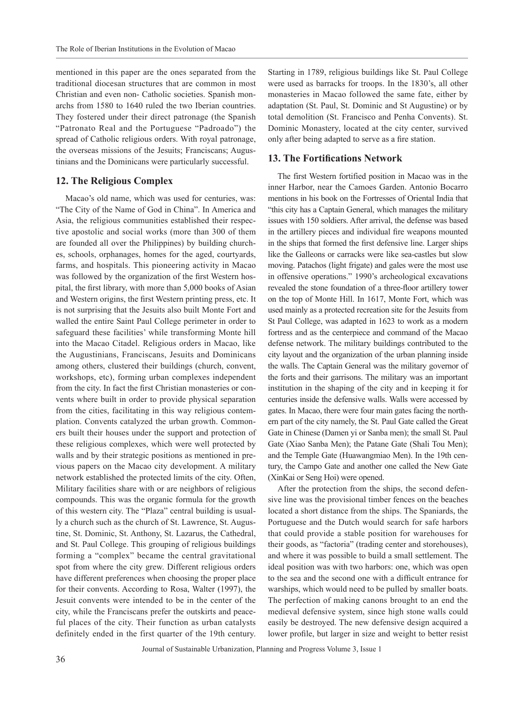mentioned in this paper are the ones separated from the traditional diocesan structures that are common in most Christian and even non- Catholic societies. Spanish monarchs from 1580 to 1640 ruled the two Iberian countries. They fostered under their direct patronage (the Spanish "Patronato Real and the Portuguese "Padroado") the spread of Catholic religious orders. With royal patronage, the overseas missions of the Jesuits; Franciscans; Augustinians and the Dominicans were particularly successful.

## **12. The Religious Complex**

Macao's old name, which was used for centuries, was: "The City of the Name of God in China". In America and Asia, the religious communities established their respective apostolic and social works (more than 300 of them are founded all over the Philippines) by building churches, schools, orphanages, homes for the aged, courtyards, farms, and hospitals. This pioneering activity in Macao was followed by the organization of the first Western hospital, the first library, with more than 5,000 books of Asian and Western origins, the first Western printing press, etc. It is not surprising that the Jesuits also built Monte Fort and walled the entire Saint Paul College perimeter in order to safeguard these facilities' while transforming Monte hill into the Macao Citadel. Religious orders in Macao, like the Augustinians, Franciscans, Jesuits and Dominicans among others, clustered their buildings (church, convent, workshops, etc), forming urban complexes independent from the city. In fact the first Christian monasteries or convents where built in order to provide physical separation from the cities, facilitating in this way religious contemplation. Convents catalyzed the urban growth. Commoners built their houses under the support and protection of these religious complexes, which were well protected by walls and by their strategic positions as mentioned in previous papers on the Macao city development. A military network established the protected limits of the city. Often, Military facilities share with or are neighbors of religious compounds. This was the organic formula for the growth of this western city. The "Plaza" central building is usually a church such as the church of St. Lawrence, St. Augustine, St. Dominic, St. Anthony, St. Lazarus, the Cathedral, and St. Paul College. This grouping of religious buildings forming a "complex" became the central gravitational spot from where the city grew. Different religious orders have different preferences when choosing the proper place for their convents. According to Rosa, Walter (1997), the Jesuit convents were intended to be in the center of the city, while the Franciscans prefer the outskirts and peaceful places of the city. Their function as urban catalysts definitely ended in the first quarter of the 19th century.

Starting in 1789, religious buildings like St. Paul College were used as barracks for troops. In the 1830's, all other monasteries in Macao followed the same fate, either by adaptation (St. Paul, St. Dominic and St Augustine) or by total demolition (St. Francisco and Penha Convents). St. Dominic Monastery, located at the city center, survived only after being adapted to serve as a fire station.

#### **13. The Fortifications Network**

The first Western fortified position in Macao was in the inner Harbor, near the Camoes Garden. Antonio Bocarro mentions in his book on the Fortresses of Oriental India that "this city has a Captain General, which manages the military issues with 150 soldiers. After arrival, the defense was based in the artillery pieces and individual fire weapons mounted in the ships that formed the first defensive line. Larger ships like the Galleons or carracks were like sea-castles but slow moving. Patachos (light frigate) and gales were the most use in offensive operations." 1990's archeological excavations revealed the stone foundation of a three-floor artillery tower on the top of Monte Hill. In 1617, Monte Fort, which was used mainly as a protected recreation site for the Jesuits from St Paul College, was adapted in 1623 to work as a modern fortress and as the centerpiece and command of the Macao defense network. The military buildings contributed to the city layout and the organization of the urban planning inside the walls. The Captain General was the military governor of the forts and their garrisons. The military was an important institution in the shaping of the city and in keeping it for centuries inside the defensive walls. Walls were accessed by gates. In Macao, there were four main gates facing the northern part of the city namely, the St. Paul Gate called the Great Gate in Chinese (Damen yi or Sanba men); the small St. Paul Gate (Xiao Sanba Men); the Patane Gate (Shali Tou Men); and the Temple Gate (Huawangmiao Men). In the 19th century, the Campo Gate and another one called the New Gate (XinKai or Seng Hoi) were opened.

After the protection from the ships, the second defensive line was the provisional timber fences on the beaches located a short distance from the ships. The Spaniards, the Portuguese and the Dutch would search for safe harbors that could provide a stable position for warehouses for their goods, as "factoria" (trading center and storehouses), and where it was possible to build a small settlement. The ideal position was with two harbors: one, which was open to the sea and the second one with a difficult entrance for warships, which would need to be pulled by smaller boats. The perfection of making canons brought to an end the medieval defensive system, since high stone walls could easily be destroyed. The new defensive design acquired a lower profile, but larger in size and weight to better resist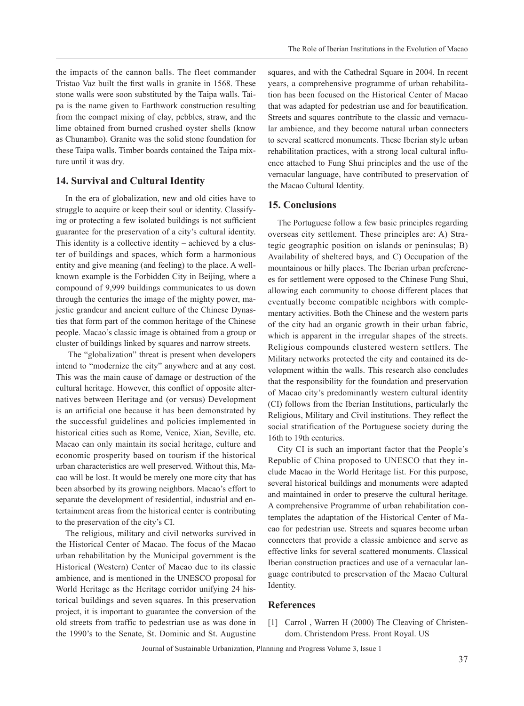the impacts of the cannon balls. The fleet commander Tristao Vaz built the first walls in granite in 1568. These stone walls were soon substituted by the Taipa walls. Taipa is the name given to Earthwork construction resulting from the compact mixing of clay, pebbles, straw, and the lime obtained from burned crushed oyster shells (know as Chunambo). Granite was the solid stone foundation for these Taipa walls. Timber boards contained the Taipa mixture until it was dry.

## **14. Survival and Cultural Identity**

In the era of globalization, new and old cities have to struggle to acquire or keep their soul or identity. Classifying or protecting a few isolated buildings is not sufficient guarantee for the preservation of a city's cultural identity. This identity is a collective identity – achieved by a cluster of buildings and spaces, which form a harmonious entity and give meaning (and feeling) to the place. A wellknown example is the Forbidden City in Beijing, where a compound of 9,999 buildings communicates to us down through the centuries the image of the mighty power, majestic grandeur and ancient culture of the Chinese Dynasties that form part of the common heritage of the Chinese people. Macao's classic image is obtained from a group or cluster of buildings linked by squares and narrow streets.

 The "globalization" threat is present when developers intend to "modernize the city" anywhere and at any cost. This was the main cause of damage or destruction of the cultural heritage. However, this conflict of opposite alternatives between Heritage and (or versus) Development is an artificial one because it has been demonstrated by the successful guidelines and policies implemented in historical cities such as Rome, Venice, Xian, Seville, etc. Macao can only maintain its social heritage, culture and economic prosperity based on tourism if the historical urban characteristics are well preserved. Without this, Macao will be lost. It would be merely one more city that has been absorbed by its growing neighbors. Macao's effort to separate the development of residential, industrial and entertainment areas from the historical center is contributing to the preservation of the city's CI.

The religious, military and civil networks survived in the Historical Center of Macao. The focus of the Macao urban rehabilitation by the Municipal government is the Historical (Western) Center of Macao due to its classic ambience, and is mentioned in the UNESCO proposal for World Heritage as the Heritage corridor unifying 24 historical buildings and seven squares. In this preservation project, it is important to guarantee the conversion of the old streets from traffic to pedestrian use as was done in the 1990's to the Senate, St. Dominic and St. Augustine

squares, and with the Cathedral Square in 2004. In recent years, a comprehensive programme of urban rehabilitation has been focused on the Historical Center of Macao that was adapted for pedestrian use and for beautification. Streets and squares contribute to the classic and vernacular ambience, and they become natural urban connecters to several scattered monuments. These Iberian style urban rehabilitation practices, with a strong local cultural influence attached to Fung Shui principles and the use of the vernacular language, have contributed to preservation of the Macao Cultural Identity.

#### **15. Conclusions**

The Portuguese follow a few basic principles regarding overseas city settlement. These principles are: A) Strategic geographic position on islands or peninsulas; B) Availability of sheltered bays, and C) Occupation of the mountainous or hilly places. The Iberian urban preferences for settlement were opposed to the Chinese Fung Shui, allowing each community to choose different places that eventually become compatible neighbors with complementary activities. Both the Chinese and the western parts of the city had an organic growth in their urban fabric, which is apparent in the irregular shapes of the streets. Religious compounds clustered western settlers. The Military networks protected the city and contained its development within the walls. This research also concludes that the responsibility for the foundation and preservation of Macao city's predominantly western cultural identity (CI) follows from the Iberian Institutions, particularly the Religious, Military and Civil institutions. They reflect the social stratification of the Portuguese society during the 16th to 19th centuries.

City CI is such an important factor that the People's Republic of China proposed to UNESCO that they include Macao in the World Heritage list. For this purpose, several historical buildings and monuments were adapted and maintained in order to preserve the cultural heritage. A comprehensive Programme of urban rehabilitation contemplates the adaptation of the Historical Center of Macao for pedestrian use. Streets and squares become urban connecters that provide a classic ambience and serve as effective links for several scattered monuments. Classical Iberian construction practices and use of a vernacular language contributed to preservation of the Macao Cultural Identity.

#### **References**

[1] Carrol, Warren H (2000) The Cleaving of Christendom. Christendom Press. Front Royal. US

Journal of Sustainable Urbanization, Planning and Progress Volume 3, Issue 1